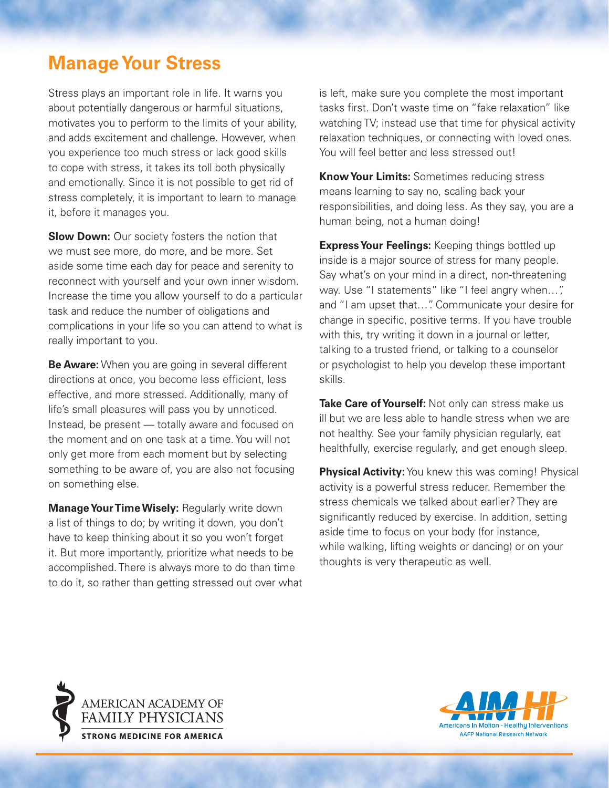## **Manage Your Stress**

Stress plays an important role in life. It warns you about potentially dangerous or harmful situations, motivates you to perform to the limits of your ability, and adds excitement and challenge. However, when you experience too much stress or lack good skills to cope with stress, it takes its toll both physically and emotionally. Since it is not possible to get rid of stress completely, it is important to learn to manage it, before it manages you.

**Slow Down:** Our society fosters the notion that we must see more, do more, and be more. Set aside some time each day for peace and serenity to reconnect with yourself and your own inner wisdom. Increase the time you allow yourself to do a particular task and reduce the number of obligations and complications in your life so you can attend to what is really important to you.

**Be Aware:** When you are going in several different directions at once, you become less efficient, less effective, and more stressed. Additionally, many of life's small pleasures will pass you by unnoticed. Instead, be present — totally aware and focused on the moment and on one task at a time. You will not only get more from each moment but by selecting something to be aware of, you are also not focusing on something else.

**Manage Your Time Wisely:** Regularly write down a list of things to do; by writing it down, you don't have to keep thinking about it so you won't forget it. But more importantly, prioritize what needs to be accomplished. There is always more to do than time to do it, so rather than getting stressed out over what is left, make sure you complete the most important tasks first. Don't waste time on "fake relaxation" like watching TV; instead use that time for physical activity relaxation techniques, or connecting with loved ones. You will feel better and less stressed out!

**Know Your Limits:** Sometimes reducing stress means learning to say no, scaling back your responsibilities, and doing less. As they say, you are a human being, not a human doing!

**Express Your Feelings:** Keeping things bottled up inside is a major source of stress for many people. Say what's on your mind in a direct, non-threatening way. Use "I statements" like "I feel angry when...", and "I am upset that…". Communicate your desire for change in specific, positive terms. If you have trouble with this, try writing it down in a journal or letter, talking to a trusted friend, or talking to a counselor or psychologist to help you develop these important skills.

**Take Care of Yourself:** Not only can stress make us ill but we are less able to handle stress when we are not healthy. See your family physician regularly, eat healthfully, exercise regularly, and get enough sleep.

**Physical Activity:** You knew this was coming! Physical activity is a powerful stress reducer. Remember the stress chemicals we talked about earlier? They are significantly reduced by exercise. In addition, setting aside time to focus on your body (for instance, while walking, lifting weights or dancing) or on your thoughts is very therapeutic as well.